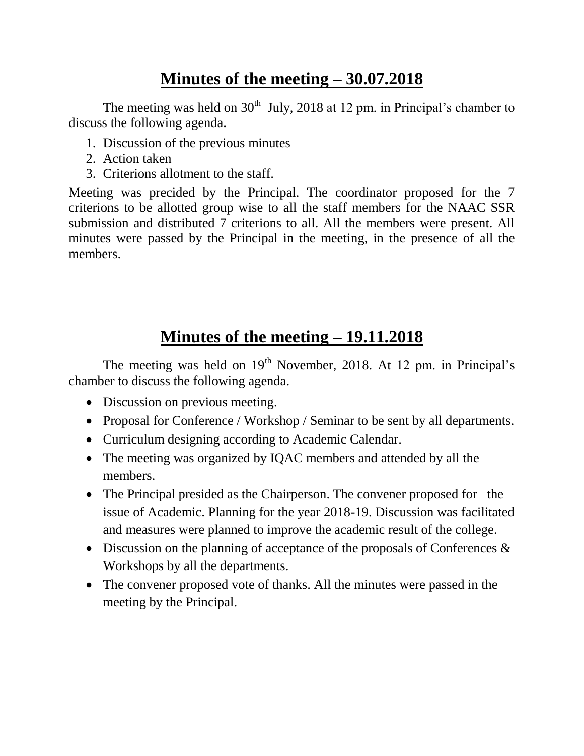## **Minutes of the meeting – 30.07.2018**

The meeting was held on  $30<sup>th</sup>$  July, 2018 at 12 pm. in Principal's chamber to discuss the following agenda.

- 1. Discussion of the previous minutes
- 2. Action taken
- 3. Criterions allotment to the staff.

Meeting was precided by the Principal. The coordinator proposed for the 7 criterions to be allotted group wise to all the staff members for the NAAC SSR submission and distributed 7 criterions to all. All the members were present. All minutes were passed by the Principal in the meeting, in the presence of all the members.

## **Minutes of the meeting – 19.11.2018**

The meeting was held on  $19<sup>th</sup>$  November, 2018. At 12 pm. in Principal's chamber to discuss the following agenda.

- Discussion on previous meeting.
- Proposal for Conference / Workshop / Seminar to be sent by all departments.
- Curriculum designing according to Academic Calendar.
- The meeting was organized by IQAC members and attended by all the members.
- The Principal presided as the Chairperson. The convener proposed for the issue of Academic. Planning for the year 2018-19. Discussion was facilitated and measures were planned to improve the academic result of the college.
- Discussion on the planning of acceptance of the proposals of Conferences  $\&$ Workshops by all the departments.
- The convener proposed vote of thanks. All the minutes were passed in the meeting by the Principal.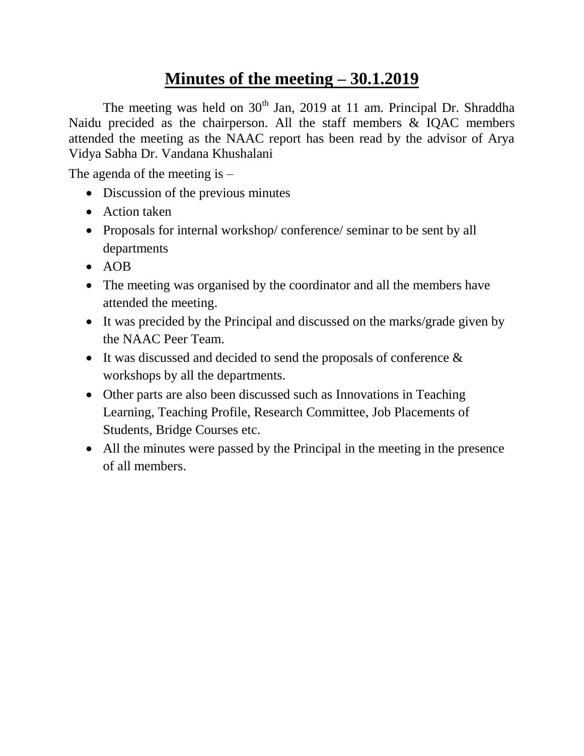## **Minutes of the meeting – 30.1.2019**

The meeting was held on  $30<sup>th</sup>$  Jan, 2019 at 11 am. Principal Dr. Shraddha Naidu precided as the chairperson. All the staff members & IQAC members attended the meeting as the NAAC report has been read by the advisor of Arya Vidya Sabha Dr. Vandana Khushalani

The agenda of the meeting is  $-$ 

- Discussion of the previous minutes
- Action taken
- Proposals for internal workshop/conference/ seminar to be sent by all departments
- $\bullet$  AOB
- The meeting was organised by the coordinator and all the members have attended the meeting.
- It was precided by the Principal and discussed on the marks/grade given by the NAAC Peer Team.
- $\bullet$  It was discussed and decided to send the proposals of conference  $\&$ workshops by all the departments.
- Other parts are also been discussed such as Innovations in Teaching Learning, Teaching Profile, Research Committee, Job Placements of Students, Bridge Courses etc.
- All the minutes were passed by the Principal in the meeting in the presence of all members.